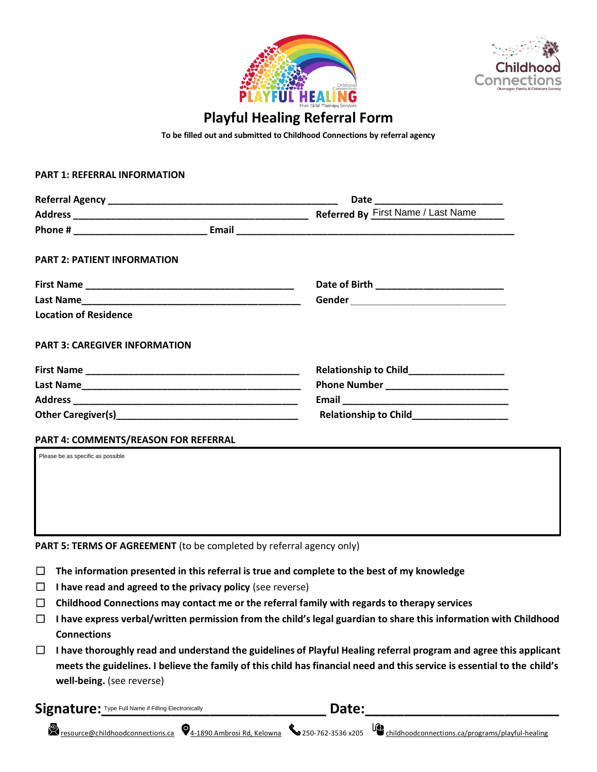



# **Playful Healing Referral Form**

**To be filled out and submitted to Childhood Connections by referral agency**

#### **PART 1: REFERRAL INFORMATION**

| <b>PART 2: PATIENT INFORMATION</b>   |                                           |
|--------------------------------------|-------------------------------------------|
|                                      |                                           |
|                                      |                                           |
| <b>Location of Residence</b>         |                                           |
| <b>PART 3: CAREGIVER INFORMATION</b> |                                           |
|                                      | Relationship to Child____________________ |
|                                      |                                           |
|                                      |                                           |
|                                      | Relationship to Child__________________   |
| PART 4: COMMENTS/REASON FOR REFERRAL |                                           |
| Please be as specific as possible    |                                           |
|                                      |                                           |
|                                      |                                           |
|                                      |                                           |
|                                      |                                           |
|                                      |                                           |

PART 5: TERMS OF AGREEMENT (to be completed by referral agency only)

- ☐ **The information presented in this referral is true and complete to the best of my knowledge**
- ☐ **I have read and agreed to the privacy policy** (see reverse)
- ☐ **Childhood Connections may contact me or the referral family with regards to therapy services**
- ☐ **I have express verbal/written permission from the child's legal guardian to share this information with Childhood Connections**
- ☐ **I have thoroughly read and understand the guidelines of Playful Healing referral program and agree this applicant meets the guidelines. I believe the family of this child has financial need and this service is essential to the child's well-being.** (see reverse)

Signature: Type Full Name if Filling Electronically **Example 2000 Companion Case 2010** 

[resource@childhoodconnections.ca](mailto:resource@childhoodconnections.ca) [4-1890 Ambrosi Rd, Kelowna](https://www.google.com/maps/place/4-1890+Ambrosi+Rd,+Kelowna,+BC+V1Y+4R9/@49.8795919,-119.4521971,617m/data=!3m2!1e3!4b1!4m5!3m4!1s0x537d8cb6dffc2cfb:0x8cabc7864a8a29d8!8m2!3d49.8795919!4d-119.4500084) 250-762-3536 x205 [childhoodconnections.ca/programs/playful-healing](https://childhoodconnections.ca/programs/playful-healing/)